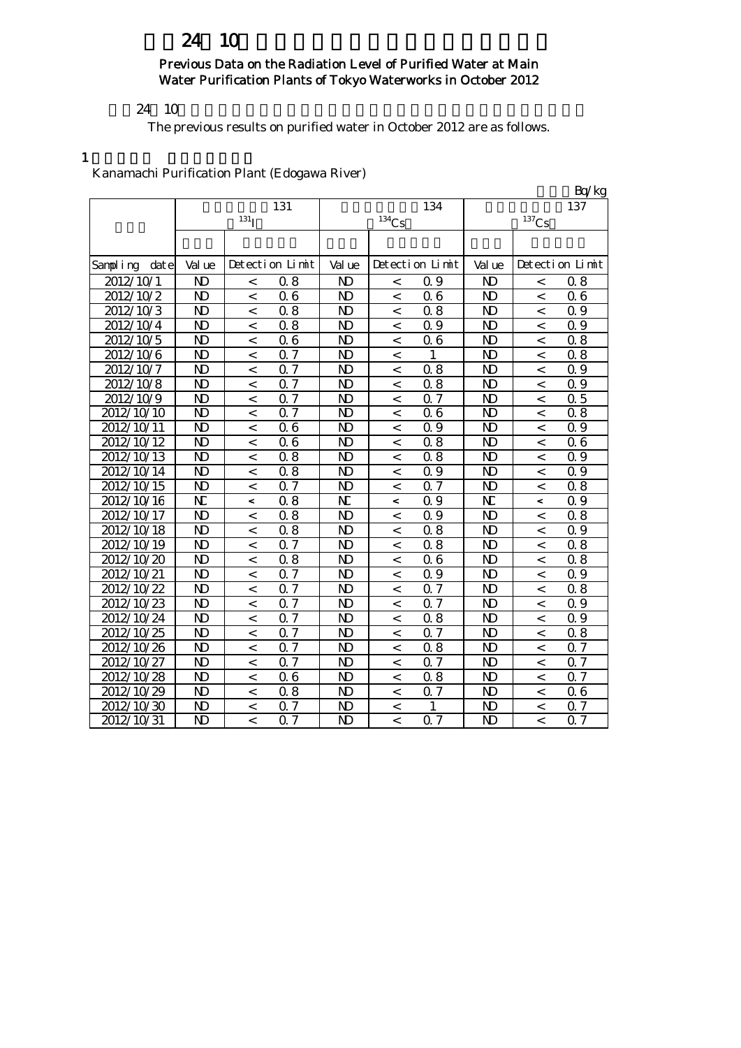# 24 10

### Previous Data on the Radiation Level of Purified Water at Main Water Purification Plants of Tokyo Waterworks in October 2012

#### $24 \quad 10$

The previous results on purified water in October 2012 are as follows.

1

### Kanamachi Purification Plant (Edogawa River)

|                        |                         |                  |                  |                |                          |                  |                         |                          | Bq/kg            |
|------------------------|-------------------------|------------------|------------------|----------------|--------------------------|------------------|-------------------------|--------------------------|------------------|
|                        |                         |                  | 131              |                |                          | 134              |                         |                          | 137              |
|                        |                         | 131 <sub>l</sub> |                  |                | $^{134}C_5$              |                  |                         | $137$ Cs                 |                  |
|                        |                         |                  |                  |                |                          |                  |                         |                          |                  |
| Sampling<br>dat e      | Val ue                  |                  | Detection Limit  | Val ue         |                          | Detection Limit  | Val ue                  |                          | Detection Limit  |
| 2012/10/1              | N <sub>D</sub>          | $\,<\,$          | 0.8              | N)             | $\,<\,$                  | Q 9              | ND                      | $\,<\,$                  | 0.8              |
| $20\overline{12/10/2}$ | N <sub>D</sub>          | $\lt$            | 06               | $\mathbf{N}$   | $\,<\,$                  | 06               | N <sub>D</sub>          | $\lt$                    | 06               |
| 2012/10/3              | N <sub>D</sub>          | $\overline{<}$   | 0.8              | ND             | $\,<$                    | 0.8              | N <sub>D</sub>          | $\,<\,$                  | 0.9              |
| 2012/10/4              | N <sub>D</sub>          | $\overline{<}$   | 0.8              | $\mathbf{N}$   | $\overline{a}$           | 0.9              | N <sub>D</sub>          | $\,<$                    | Q 9              |
| 2012/10/5              | N <sub>D</sub>          | $\overline{a}$   | 06               | N <sub>D</sub> | $\overline{a}$           | 06               | N <sub>D</sub>          | $\overline{a}$           | 0.8              |
| 2012/10/6              | N <sub>D</sub>          | $\,<$            | 0.7              | N <sub>D</sub> | $\,<\,$                  |                  | N <sub>D</sub>          | $\,<\,$                  | 0.8              |
| 2012/10/7              | N <sub>D</sub>          | $\lt$            | 0.7              | N <sub>D</sub> | $\,<\,$                  | 0.8              | N <sub>D</sub>          | $\,<\,$                  | 0.9              |
| 2012/10/8              | N <sub>D</sub>          | $\lt$            | $0.\overline{7}$ | N <sub>D</sub> | $\lt$                    | 0.8              | N <sub>D</sub>          | $\lt$                    | 0.9              |
| 2012/10/9              | N <sub>D</sub>          | $\lt$            | 0.7              | N <sub>D</sub> | $\,<\,$                  | $\overline{0.7}$ | N <sub>D</sub>          | $\overline{\phantom{a}}$ | $\overline{0.5}$ |
| 2012/10/10             | $\mathbf{N}$            | $\lt$            | 0.7              | N <sub>D</sub> | $\lt$                    | 06               | N <sub>D</sub>          | $\,<\,$                  | 0.8              |
| 2012/10/11             | N <sub>D</sub>          | $\lt$            | 06               | N <sub>D</sub> | $\overline{a}$           | 0.9              | N <sub>D</sub>          | $\,<$                    | 0.9              |
| 2012/10/12             | $\mathbf{N}$            | $\lt$            | 06               | N <sub>D</sub> | $\,<\,$                  | 0.8              | N <sub>D</sub>          | $\,<\,$                  | 06               |
| 2012/10/13             | N <sub>D</sub>          | $\lt$            | 0.8              | $\mathbf{N}$   | $\overline{a}$           | 0.8              | N <sub>D</sub>          | $\,<$                    | 0.9              |
| 2012/10/14             | N <sub>D</sub>          | $\,<\,$          | 0.8              | N <sub>D</sub> | $\,<\,$                  | 0.9              | N <sub>D</sub>          | $\lt$                    | 0.9              |
| 2012/10/15             | N <sub>D</sub>          | $\lt$            | <b>Q</b> 7       | N <sub>D</sub> | $\,<\,$                  | Q <sub>7</sub>   | N <sub>D</sub>          | $\,<\,$                  | 0.8              |
| 2012/10/16             | N                       | $\overline{a}$   | 0.8              | N              | $\overline{\phantom{a}}$ | 0.9              | $\overline{\mathbf{N}}$ | $\prec$                  | 0.9              |
| 2012/10/17             | $\mathbf{N}$            | $\,<\,$          | 0.8              | N <sub>D</sub> | $\overline{\phantom{a}}$ | 0.9              | N <sub>D</sub>          | $\lt$                    | 0.8              |
| 2012/10/18             | N <sub>D</sub>          | $\,<\,$          | 0.8              | N <sub>D</sub> | $\,<\,$                  | 0.8              | N <sub>D</sub>          | $\,<\,$                  | Q 9              |
| 2012/10/19             | $\mathbf{N}$            | $\,<\,$          | 0.7              | N <sub>D</sub> | $\lt$                    | 0.8              | N <sub>D</sub>          | $\lt$                    | 0.8              |
| 2012/10/20             | N <sub>D</sub>          | $\lt$            | 0.8              | N <sub>D</sub> | $\,<\,$                  | 06               | N <sub>D</sub>          | $\lt$                    | 0.8              |
| 2012/10/21             | N <sub>D</sub>          | $\,<\,$          | $\overline{0.7}$ | N)             | $\,<\,$                  | 0.9              | N <sub>D</sub>          | $\,<\,$                  | 0.9              |
| 2012/10/22             | N <sub>D</sub>          | $\,<\,$          | 0.7              | N <sub>D</sub> | $\,<\,$                  | Q <sub>7</sub>   | N <sub>D</sub>          | $\,<\,$                  | 0.8              |
| 2012/10/23             | N <sub>D</sub>          | $\,<\,$          | <b>Q</b> 7       | N <sub>D</sub> | $\,<\,$                  | $Q\bar{z}$       | N <sub>D</sub>          | $\,<\,$                  | 0.9              |
| 2012/10/24             | N <sub>D</sub>          | $\,<\,$          | <b>Q</b> 7       | N <sub>D</sub> | $\,<\,$                  | 0.8              | N <sub>D</sub>          | $\,<\,$                  | Q 9              |
| 2012/10/25             | N <sub>D</sub>          | $\,<\,$          | <b>Q</b> 7       | N <sub>D</sub> | $\,<\,$                  | Q <sub>7</sub>   | N <sub>D</sub>          | $\,<\,$                  | 0.8              |
| 2012/10/26             | N <sub>D</sub>          | $\,<\,$          | 0.7              | N <sub>D</sub> | $\overline{\phantom{a}}$ | 0.8              | N <sub>D</sub>          | $\lt$                    | 0.7              |
| 2012/10/27             | N <sub>D</sub>          | $\,<\,$          | 0.7              | N <sub>D</sub> | $\,<\,$                  | Q <sub>7</sub>   | N <sub>D</sub>          | $\,<\,$                  | 0.7              |
| 2012/10/28             | N <sub>D</sub>          | $\,<\,$          | 06               | $\mathbf{N}$   | $\,<\,$                  | 0.8              | N <sub>D</sub>          | $\,<\,$                  | 0.7              |
| 2012/10/29             | $\overline{\mathbf{D}}$ | $\,<$            | $\overline{0.8}$ | $\mathbf{N}$   | $\,<\,$                  | $\overline{0.7}$ | $\overline{\mathsf{D}}$ | $\,<\,$                  | $\overline{06}$  |
| 2012/10/30             | N <sub>D</sub>          | $\,<\,$          | 0.7              | N <sub>D</sub> | $\,<\,$                  | 1                | ND                      | $\,<\,$                  | Q 7              |
| 2012/10/31             | $\overline{\mathsf{D}}$ | $\lt$            | 0.7              | N <sub>D</sub> | $\overline{\phantom{a}}$ | 0.7              | $\overline{\mathsf{D}}$ | $\overline{a}$           | $\overline{0.7}$ |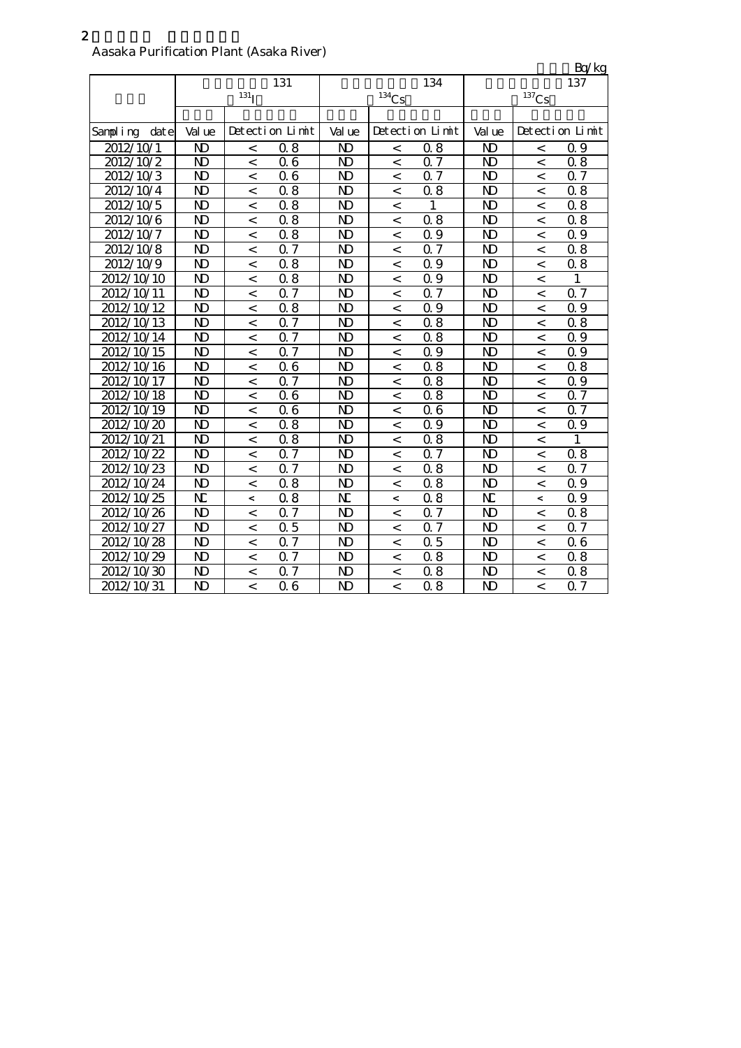#### Aasaka Purification Plant (Asaka River)

|                    |                         |                          |                  |                |                |                 |                         |                          | <u>Bq/kg</u>    |
|--------------------|-------------------------|--------------------------|------------------|----------------|----------------|-----------------|-------------------------|--------------------------|-----------------|
|                    |                         |                          | 131              |                |                | 134             |                         |                          | 137             |
|                    |                         | 131 <sub>l</sub>         |                  |                | $134$ Cs       |                 |                         | $^{137}\mathrm{Cs}$      |                 |
|                    |                         |                          |                  |                |                |                 |                         |                          |                 |
| Sampling<br>dat el | Val ue                  |                          | Detection Limit  | Val ue         |                | Detection Limit | Val ue                  |                          | Detection Limit |
| 2012/10/1          | N <sub>D</sub>          | $\,<$                    | 0.8              | N <sub>D</sub> | $\,<\,$        | 08              | N <sub>D</sub>          | $\,<$                    | 0.9             |
| 2012/10/2          | N <sub>D</sub>          | $\overline{\phantom{a}}$ | 06               | ND             | $\lt$          | 0.7             | N <sub>D</sub>          | $\overline{\phantom{a}}$ | 08              |
| 2012/10/3          | N <sub>D</sub>          | $\,<\,$                  | 06               | N <sub>D</sub> | $\,<\,$        | Q 7             | $\mathbf{D}$            | $\,<\,$                  | 0.7             |
| 2012/10/4          | N <sub>D</sub>          | $\overline{a}$           | 0.8              | ND             | $\,<\,$        | 08              | $\mathbf{D}$            | $\,<\,$                  | 08              |
| 2012/10/5          | N <sub>D</sub>          | $\,<\,$                  | 0.8              | ND             | $\,<\,$        | 1               | $\mathbf{D}$            | $\,<\,$                  | 08              |
| 2012/10/6          | $\overline{\mathbf{D}}$ | $\overline{a}$           | 0.8              | N <sub>D</sub> | $\,<\,$        | 0.8             | $\overline{\mathbf{D}}$ | $\overline{a}$           | 0.8             |
| 2012/10/7          | N <sub>D</sub>          | $\lt$                    | 0.8              | N <sub>D</sub> | $\overline{<}$ | Q 9             | $\mathbf{D}$            | $\,<$                    | 0.9             |
| 2012/10/8          | N <sub>D</sub>          | $\lt$                    | 0.7              | N <sub>D</sub> | $\,<$          | 0.7             | $\mathbf{D}$            | $\,<$                    | 08              |
| 2012/10/9          | N <sub>D</sub>          | $\,<\,$                  | 0.8              | N)             | $\,<$          | 0.9             | $\mathbf{D}$            | $\,<$                    | 08              |
| 2012/10/10         | N <sub>D</sub>          | $\,<$                    | 0.8              | $\mathbf{N}$   | $\,<\,$        | 0.9             | N <sub>D</sub>          | $\,<$                    | $\mathbf{1}$    |
| 2012/10/11         | N <sub>D</sub>          | $\lt$                    | 0.7              | N <sub>D</sub> | $\overline{a}$ | Q <sub>7</sub>  | N <sub>D</sub>          | $\lt$                    | 0.7             |
| 2012/10/12         | N <sub>D</sub>          | $\overline{a}$           | 0.8              | N <sub>D</sub> | $\overline{<}$ | 0.9             | N <sub>D</sub>          | $\,<$                    | Q 9             |
| 2012/10/13         | N <sub>D</sub>          | $\overline{a}$           | $\overline{0.7}$ | N <sub>D</sub> | $\overline{a}$ | 0.8             | N <sub>D</sub>          | $\,<$                    | 0.8             |
| 2012/10/14         | N <sub>D</sub>          | $\overline{a}$           | 0.7              | N <sub>D</sub> | $\overline{<}$ | 0.8             | N <sub>D</sub>          | $\,<$                    | Q 9             |
| 2012/10/15         | N <sub>D</sub>          | $\overline{a}$           | 0.7              | N <sub>D</sub> | $\,<$          | 0.9             | N <sub>D</sub>          | $\,<$                    | 0.9             |
| 2012/10/16         | N <sub>D</sub>          | $\overline{a}$           | 06               | N <sub>D</sub> | $\lt$          | 0.8             | N <sub>D</sub>          | $\lt$                    | 0.8             |
| 2012/10/17         | N <sub>D</sub>          | $\lt$                    | 0.7              | N <sub>D</sub> | $\lt$          | 0.8             | N <sub>D</sub>          | $\lt$                    | Q 9             |
| 2012/10/18         | N <sub>D</sub>          | $\overline{a}$           | 0.6              | N <sub>D</sub> | $\lt$          | 0.8             | N <sub>D</sub>          | $\,<\,$                  | 0.7             |
| 2012/10/19         | N <sub>D</sub>          | $\,<\,$                  | 06               | N <sub>D</sub> | $\,<\,$        | 06              | $\mathbf{D}$            | $\,<$                    | 0.7             |
| 2012/10/20         | N <sub>D</sub>          | $\lt$                    | 0.8              | N <sub>D</sub> | $\,<$          | Q 9             | $\mathbf{D}$            | $\,<$                    | 0.9             |
| 2012/10/21         | N <sub>D</sub>          | $\overline{a}$           | 0.8              | N <sub>D</sub> | $\,<$          | 0.8             | $\mathbf{D}$            | $\,<$                    | 1               |
| 2012/10/22         | N <sub>D</sub>          | $\,<\,$                  | 0.7              | ND             | $\,<$          | $Q\bar{z}$      | $\mathbf{D}$            | $\,<$                    | 08              |
| 2012/10/23         | N <sub>D</sub>          | $\,<\,$                  | 0.7              | N <sub>D</sub> | $\,<$          | 08              | N <sub>D</sub>          | $\,<$                    | 0.7             |
| 2012/10/24         | N <sub>D</sub>          | $\,<\,$                  | 0.8              | N <sub>D</sub> | $\,<$          | 0.8             | $\mathbf{D}$            | $\,<$                    | Q 9             |
| 2012/10/25         | N                       | $\,<\,$                  | 0.8              | N              | $\,<$          | 0.8             | N                       | $\,<$                    | 0.9             |
| 2012/10/26         | N <sub>D</sub>          | $\,<\,$                  | 0.7              | N <sub>D</sub> | $\,<$          | Q <sub>7</sub>  | $\mathbf{D}$            | $\,<$                    | 0.8             |
| 2012/10/27         | N <sub>D</sub>          | $\,<\,$                  | 0.5              | N <sub>D</sub> | $\,<\,$        | 0.7             | $\mathbf{D}$            | $\,<$                    | Q 7             |
| 2012/10/28         | N <sub>D</sub>          | $\,<\,$                  | 0.7              | N <sub>D</sub> | $\,<\,$        | 0.5             | N <sub>D</sub>          | $\,<$                    | 06              |
| 2012/10/29         | N)                      | $\lt$                    | 0.7              | ND             | $\,<\,$        | 08              | $\mathbf{D}$            | $\,<$                    | 08              |
| 2012/10/30         | N <sub>D</sub>          | $\,<\,$                  | 0.7              | N <sub>D</sub> | $\,<\,$        | 08              | $\mathbf{D}$            | $\,<\,$                  | 08              |
| 2012/10/31         | N <sub>D</sub>          | $\,<\,$                  | 06               | N <sub>D</sub> | $\,<\,$        | 08              | N <sub>D</sub>          | $\lt$                    | 0.7             |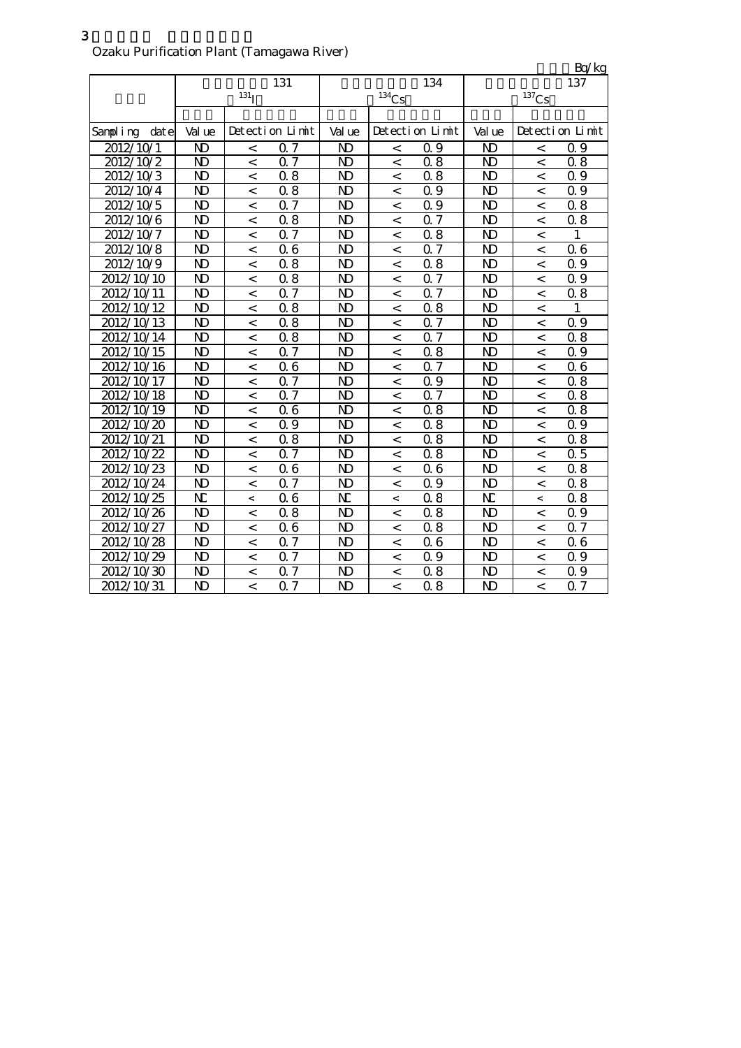単位:Bq/kg 特性 医血管切除术 医心脏 医心脏 医心脏 医心脏 Sampling date Value Detection Limit Value Detection Limit Value Detection Limit 2012/10/1 ND < 0.7 ND < 0.9 ND < 0.9  $2012/10/2$  ND < 0.7 | ND | < 0.8 | ND | < 0.8  $2012/10/3$  ND < 0.8 ND < 0.8 ND < 0.9  $2012/10/4$  ND < 0.8 ND < 0.9 ND < 0.9  $2012/10/5$  ND < 0.7 | ND < 0.9 | ND < 0.8  $2012/10/6$  ND < 0.8 ND < 0.7 ND < 0.8  $2012/10/7$  ND < 0.7 ND < 0.8 ND < 1  $2012/10/8$  ND < 0.6 ND < 0.7 ND < 0.6  $2012/10/9$  ND < 0.8 ND < 0.8 ND < 0.9  $2012/10/10$  N  $\vert$  < 0.8 N  $\vert$  < 0.7 N  $\vert$  < 0.9  $2012/10/11$  N  $\vert$  < 0.7  $\vert$  N  $\vert$  < 0.7  $\vert$  N  $\vert$  < 0.8  $2012/10/12$  ND < 0.8 ND < 0.8 ND < 1  $2012/10/13$  ND < 0.8 | ND < 0.7 | ND < 0.9  $2012/10/14$  ND < 0.8 ND < 0.7 ND < 0.8  $2012/10/15$  ND < 0.7 ND < 0.8 ND < 0.9  $2012/10/16$  ND < 0.6 ND < 0.7 | ND < 0.6  $2012/10/17$  ND < 0.7 ND < 0.9 ND < 0.8  $2012/10/18$  ND < 0.7 ND < 0.7 ND < 0.8  $2012/10/19$  N  $\sim 0.6$  N  $\sim 0.8$  N  $\sim 0.8$  $2012/10/20$  ND < 0.9 ND < 0.8 ND < 0.9  $2012/10/21$  ND < 0.8 ND < 0.8 ND < 0.8  $2012/10/22$  ND < 0.7 | ND < 0.8 | ND < 0.5  $2012/10/23$  ND < 0.6 ND < 0.6 ND < 0.8  $2012/10/24$  ND < 0.7 ND < 0.9 ND < 0.8  $2012/10/25$  ND  $\lt$  0.6 ND  $\lt$  0.8 ND  $\lt$  0.8 放射性ヨウ素131  $131<sub>I</sub>$ 放射性セシウム134  $134Cs$ 137  $^{137}\mathrm{Cs}$ 検出限界値 検出限界値 検出限界値  $2012/10/26$  ND < 0.8 ND < 0.8 ND < 0.9  $2012/10/27$  ND < 0.6 ND < 0.8 ND < 0.7  $2012/10/28$  ND < 0.7 | ND < 0.6 | ND < 0.6  $2012/10/29$  ND < 0.7 ND < 0.9 ND < 0.9  $2012/10/30$  ND < 0.7 ND < 0.8 ND < 0.9  $2012/10/31$  ND < 0.7 ND < 0.8 ND < 0.7

### Ozaku Purification Plant (Tamagawa River)

3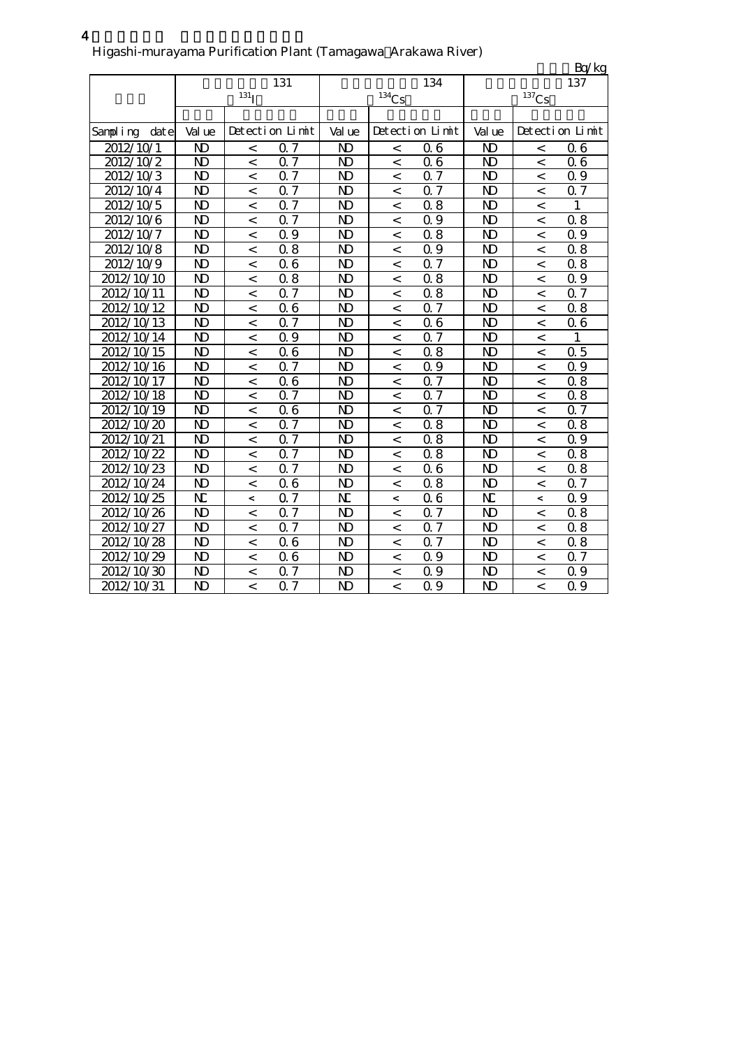|                  |                |                  |                  |                |                          |                  |                         |                     | Bq/kg           |
|------------------|----------------|------------------|------------------|----------------|--------------------------|------------------|-------------------------|---------------------|-----------------|
|                  |                |                  | 131              |                |                          | 134              |                         |                     | 137             |
|                  |                | 131 <sub>I</sub> |                  |                | $134$ Cs                 |                  |                         | $^{137}\mathrm{Cs}$ |                 |
|                  |                |                  |                  |                |                          |                  |                         |                     |                 |
| Sampling<br>date | Val ue         |                  | Detection Limit  | Val ue         |                          | Detection Limit  | Val ue                  |                     | Detection Limit |
| 2012/10/1        | N <sub>D</sub> | $\,<$            | 0.7              | N <sub>D</sub> | $\,<$                    | 06               | N <sub>D</sub>          | $\,<$               | 06              |
| 2012/10/2        | N <sub>D</sub> | $\,<$            | 0.7              | ND             | $\,<$                    | 06               | $\mathbf{D}$            | $\,<$               | 06              |
| 2012/10/3        | N <sub>D</sub> | $\overline{a}$   | 0.7              | N <sub>D</sub> | $\,<$                    | $\overline{0.7}$ | N <sub>D</sub>          | $\lt$               | 0.9             |
| 2012/10/4        | N <sub>D</sub> | $\,<$            | 0.7              | N <sub>D</sub> | $\,<\,$                  | 0.7              | $\mathbf{D}$            | $\,<\,$             | 0.7             |
| 2012/10/5        | $\mathbf{D}$   | $\,<$            | 0.7              | N <sub>D</sub> | $\,<$                    | 08               | $\mathbf{D}$            | $\,<$               | 1               |
| 2012/10/6        | N <sub>D</sub> | $\,<$            | 0.7              | $\mathbf{D}$   | $\,<$                    | Q 9              | $\overline{\mathbf{D}}$ | $\,<$               | 0.8             |
| 2012/10/7        | N <sub>D</sub> | $\,<$            | 0.9              | N)             | $\,<$                    | 08               | N)                      | $\,<$               | 0.9             |
| 2012/10/8        | N <sub>D</sub> | $\,<\,$          | 0.8              | N <sub>D</sub> | $\,<$                    | 0.9              | N <sub>D</sub>          | $\,<\,$             | 0.8             |
| 2012/10/9        | N <sub>D</sub> | $\,<$            | 06               | N <sub>D</sub> | $\,<$                    | 0.7              | N <sub>D</sub>          | $\,<$               | 08              |
| 2012/10/10       | N <sub>D</sub> | $\,<\,$          | 0.8              | N <sub>D</sub> | $\,<$                    | 08               | N <sub>D</sub>          | $\lt$               | 0.9             |
| 2012/10/11       | N <sub>D</sub> | $\,<\,$          | 0.7              | N <sub>D</sub> | $\,<$                    | 0.8              | $\mathbf{D}$            | $\,<$               | 0.7             |
| 2012/10/12       | N <sub>D</sub> | $\,<$            | 0.6              | N <sub>D</sub> | $\,<$                    | $\overline{07}$  | $\overline{\mathsf{D}}$ | $\,<\,$             | 0.8             |
| 2012/10/13       | N <sub>D</sub> | $\,<$            | 0.7              | N <sub>D</sub> | $\,<\,$                  | 06               | N <sub>D</sub>          | $\,<$               | 06              |
| 2012/10/14       | N <sub>D</sub> | $\lt$            | $\overline{0.9}$ | N <sub>D</sub> | $\overline{\phantom{a}}$ | $\overline{0.7}$ | $\overline{\mathbf{D}}$ | $\,<\,$             | 1               |
| 2012/10/15       | N <sub>D</sub> | $\overline{a}$   | 06               | N <sub>D</sub> | $\overline{a}$           | 0.8              | N <sub>D</sub>          | $\overline{a}$      | 0.5             |
| 2012/10/16       | N <sub>D</sub> | $\,<\,$          | 0.7              | N <sub>D</sub> | $\,<$                    | 0.9              | N <sub>D</sub>          | $\,<\,$             | 0.9             |
| 2012/10/17       | N <sub>D</sub> | $\,<$            | 06               | N <sub>D</sub> | $\,<$                    | $0.\overline{7}$ | N <sub>D</sub>          | $\,<$               | 0.8             |
| 2012/10/18       | N <sub>D</sub> | $\lt$            | 0.7              | N <sub>D</sub> | $\overline{a}$           | $\overline{0.7}$ | N <sub>D</sub>          | $\lt$               | 0.8             |
| 2012/10/19       | N <sub>D</sub> | $\,<$            | 06               | N <sub>D</sub> | $\,<$                    | $\alpha$ 7       | N <sub>D</sub>          | $\,<$               | <b>Q</b> 7      |
| 2012/10/20       | N <sub>D</sub> | $\,<\,$          | 0.7              | N <sub>D</sub> | $\,<$                    | 0.8              | N <sub>D</sub>          | $\,<\,$             | 0.8             |
| 2012/10/21       | $\mathbf{D}$   | $\,<\,$          | 0.7              | N <sub>D</sub> | $\,<$                    | 0.8              | $\mathbf{D}$            | $\,<$               | 0.9             |
| 2012/10/22       | $\mathbf{D}$   | $\,<\,$          | 0.7              | $\mathbf{D}$   | $\,<$                    | 08               | $\mathbf{D}$            | $\,<$               | 0.8             |
| 2012/10/23       | N <sub>D</sub> | $\,<\,$          | 0.7              | N)             | $\,<$                    | 06               | $\mathbf{D}$            | $\,<\,$             | 0.8             |
| 2012/10/24       | N <sub>D</sub> | $\lt$            | 06               | $\mathbf{N}$   | $\,<\,$                  | 0.8              | N <sub>D</sub>          | $\lt$               | 0.7             |
| 2012/10/25       | N              | $\,<\,$          | Q 7              | N              | $\,<$                    | 06               | N                       | $\,<\,$             | 0.9             |
| 2012/10/26       | N <sub>D</sub> | $\lt$            | 0.7              | N <sub>D</sub> | $\,<$                    | 0.7              | N <sub>D</sub>          | $\lt$               | 0.8             |
| 2012/10/27       | N <sub>D</sub> | $\,<\,$          | 0.7              | ND             | $\,<$                    | 0.7              | N <sub>D</sub>          | $\,<\,$             | 08              |
| 2012/10/28       | N <sub>D</sub> | $\,<\,$          | 0.6              | ND             | $\,<\,$                  | $\alpha$ 7       | N <sub>D</sub>          | $\,<\,$             | 0.8             |
| 2012/10/29       | N <sub>D</sub> | $\,<\,$          | 06               | N <sub>D</sub> | $\,<\,$                  | 0.9              | $\mathbf{D}$            | $\,<$               | Q 7             |
| 2012/10/30       | N)             | $\overline{a}$   | 0.7              | ND             | $\overline{a}$           | 0.9              | $\mathbf{D}$            | $\overline{a}$      | 0.9             |
| 2012/10/31       | N <sub>D</sub> | $\,<$            | 0.7              | N <sub>D</sub> | $\overline{\phantom{a}}$ | 0.9              | N <sub>D</sub>          | $\lt$               | Q 9             |

#### 4 Higashi-murayama Purification Plant (Tamagawa Arakawa River)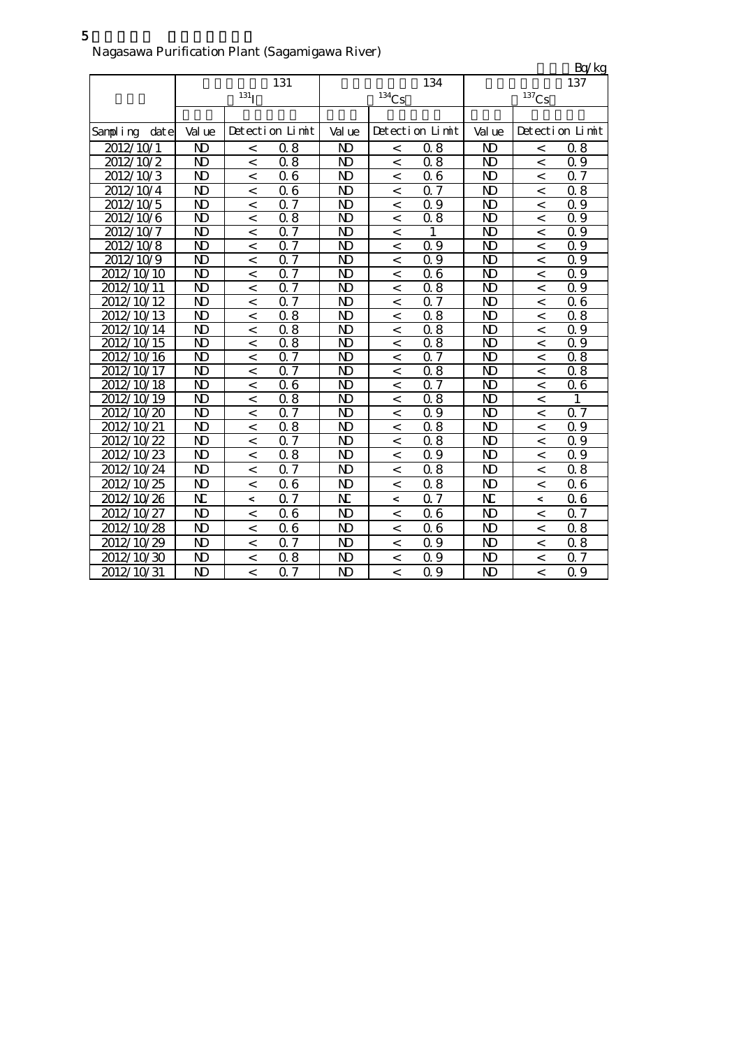|                     |                         |                          |                  |                         |                          |                  |                         |                          | Bq/kg            |
|---------------------|-------------------------|--------------------------|------------------|-------------------------|--------------------------|------------------|-------------------------|--------------------------|------------------|
|                     |                         |                          | 131              |                         |                          | 134              |                         |                          | 137              |
|                     |                         | 131 <sub>1</sub>         |                  |                         | $134$ Cs                 |                  |                         | $^{137}\mathrm{Cs}$      |                  |
|                     |                         |                          |                  |                         |                          |                  |                         |                          |                  |
| dat e<br>Sampling   | Val ue                  |                          | Detection Limit  | Val ue                  |                          | Detection Limit  | Val ue                  |                          | Detection Limit  |
| 2012/10/1           | N <sub>D</sub>          | $\,<$                    | 0.8              | N)                      | $\,<$                    | 08               | N <sub>D</sub>          | $\,<$                    | 08               |
| 2012/10/2           | N <sub>D</sub>          | $\,<$                    | 0.8              | N <sub>D</sub>          | $\,<$                    | 0.8              | $\overline{\mathbf{D}}$ | $\,<$                    | 0.9              |
| 2012/10/3           | N <sub>D</sub>          | $\lt$                    | 06               | ND                      | $\,<$                    | 06               | $\mathbf{N}$            | $\lt$                    | 0.7              |
| 2012/10/4           | N <sub>D</sub>          | $\,<$                    | 06               | N <sub>D</sub>          | $\,<$                    | 0.7              | N <sub>D</sub>          | $\,<$                    | $\overline{0}$ 8 |
| 2012/10/5           | $\overline{\mathbf{D}}$ | $\overline{a}$           | $\overline{0.7}$ | $\overline{\mathbf{D}}$ | $\,<$                    | $\overline{0.9}$ | $\overline{\mathbf{D}}$ | $\overline{\phantom{a}}$ | $\overline{0.9}$ |
| 2012/10/6           | N <sub>D</sub>          | $\,<$                    | 0.8              | N <sub>D</sub>          | $\,<$                    | 0.8              | N <sub>D</sub>          | $\,<\,$                  | 0.9              |
| 2012/10/7           | $\overline{\mathbf{D}}$ | $\,<$                    | $\overline{0.7}$ | N <sub>D</sub>          | $\,<$                    | 1                | $\overline{\mathbf{D}}$ | $\,<\,$                  | $\overline{0.9}$ |
| 2012/10/8           | $\mathbf{N}$            | $\,<$                    | $\overline{0.7}$ | N <sub>D</sub>          | $\,<$                    | 0.9              | $\overline{\mathbf{D}}$ | $\,<$                    | $\overline{0.9}$ |
| 2012/10/9           | $\overline{\mathbf{D}}$ | $\overline{\phantom{a}}$ | $\overline{0.7}$ | N <sub>D</sub>          | $\overline{\phantom{a}}$ | $\overline{0.9}$ | $\overline{\mathbf{D}}$ | $\overline{\phantom{a}}$ | $\overline{0.9}$ |
| $\sqrt{2012/10/10}$ | N <sub>D</sub>          | $\overline{\phantom{a}}$ | 0.7              | N <sub>D</sub>          | $\overline{\phantom{a}}$ | 06               | N <sub>D</sub>          | $\,<$                    | Q 9              |
| 2012/10/11          | $\overline{\mathbf{D}}$ | $\lt$                    | $\overline{0.7}$ | N <sub>D</sub>          | $\overline{\phantom{a}}$ | $\overline{0.8}$ | $\overline{\mathbf{D}}$ | $\overline{\phantom{a}}$ | $\overline{0.9}$ |
| 2012/10/12          | N <sub>D</sub>          | $\overline{a}$           | $\overline{0.7}$ | N <sub>D</sub>          | $\overline{a}$           | $\overline{0.7}$ | N <sub>D</sub>          | $\overline{\phantom{0}}$ | $\overline{06}$  |
| 2012/10/13          | $\overline{\mathbf{D}}$ | $\overline{a}$           | $\overline{0.8}$ | $\overline{\mathbf{D}}$ | $\overline{\phantom{a}}$ | $\overline{0.8}$ | $\overline{\mathbf{D}}$ | $\,<$                    | $\overline{0.8}$ |
| 2012/10/14          | N <sub>D</sub>          | $\overline{a}$           | 0.8              | ND                      | $\overline{\phantom{a}}$ | 0.8              | $\mathbf{D}$            | $\overline{\phantom{a}}$ | Q 9              |
| 2012/10/15          | N <sub>D</sub>          | $\overline{a}$           | 0.8              | $\overline{\mathsf{D}}$ | $\overline{\phantom{a}}$ | 0.8              | N <sub>D</sub>          | $\overline{\phantom{a}}$ | 0.9              |
| 2012/10/16          | $\overline{\mathbf{D}}$ | $\,<$                    | $\overline{0.7}$ | $\mathbf{D}$            | $\,<$                    | $\overline{0.7}$ | $\overline{\mathbf{D}}$ | $\,<$                    | $\overline{0.8}$ |
| 2012/10/17          | $\overline{\mathbf{D}}$ | $\,<\,$                  | $\overline{0.7}$ | N <sub>D</sub>          | $\,<$                    | $\overline{0.8}$ | $\overline{\mathbf{D}}$ | $\,<\,$                  | 0.8              |
| 2012/10/18          | $\overline{\mathbf{D}}$ | $\overline{\phantom{a}}$ | $\overline{0.6}$ | N <sub>D</sub>          | $\overline{\phantom{a}}$ | $\overline{0.7}$ | N <sub>D</sub>          | $\overline{\phantom{a}}$ | 06               |
| 2012/10/19          | N <sub>D</sub>          | $\,<\,$                  | 0.8              | N <sub>D</sub>          | $\,<\,$                  | 0.8              | $\mathbf{D}$            | $\,<$                    | 1                |
| 2012/10/20          | $\mathbf{N}$            | $\overline{\phantom{a}}$ | $\overline{0.7}$ | N <sub>D</sub>          | $\overline{\phantom{a}}$ | $\overline{0.9}$ | N <sub>D</sub>          | $\overline{\phantom{a}}$ | $\overline{0.7}$ |
| 2012/10/21          | N <sub>D</sub>          | $\,<$                    | $\overline{0.8}$ | N <sub>D</sub>          | $\,<$                    | $\overline{0.8}$ | $\mathbf{D}$            | $\,<$                    | 0.9              |
| 2012/10/22          | N <sub>D</sub>          | $\overline{\phantom{a}}$ | $\Omega$         | N <sub>D</sub>          | $\overline{\phantom{a}}$ | $\overline{0.8}$ | $\mathbf{D}$            | $\overline{\phantom{a}}$ | 0.9              |
| 2012/10/23          | $\mathbf{D}$            | $\,<$                    | 0.8              | N <sub>D</sub>          | $\,<$                    | 0.9              | $\mathbf{D}$            | $\,<\,$                  | 0.9              |
| 2012/10/24          | $\mathbf{N}$            | $\,<\,$                  | 0.7              | N <sub>D</sub>          | $\,<$                    | 08               | $\mathbf{D}$            | $\,<$                    | 0.8              |
| 2012/10/25          | $\mathbf{N}$            | $\,<$                    | 06               | ND                      | $\,<$                    | 0.8              | $\mathbf{D}$            | $\,<$                    | 06               |
| 2012/10/26          | N                       | $\,<\,$                  | 0.7              | N                       | $\,<$                    | Q <sub>7</sub>   | N                       | $\overline{\phantom{0}}$ | 06               |
| 2012/10/27          | N <sub>D</sub>          | $\lt$                    | 0.6              | N <sub>D</sub>          | $\,<$                    | 06               | N <sub>D</sub>          | $\,<$                    | 0.7              |
| 2012/10/28          | $\mathbf{D}$            | $\,<\,$                  | 06               | N <sub>D</sub>          | $\,<$                    | 06               | $\mathbf{D}$            | $\,<\,$                  | 0.8              |
| 2012/10/29          | $\mathbf{D}$            | $\,<$                    | 0.7              | N <sub>D</sub>          | $\overline{a}$           | Q 9              | $\mathbf{D}$            | $\,<$                    | 0.8              |
| 2012/10/30          | $\mathbf{N}$            | $\overline{\phantom{a}}$ | 0.8              | ND                      | $\overline{a}$           | Q 9              | $\mathbf{D}$            | $\overline{\phantom{a}}$ | 0.7              |
| 2012/10/31          | $\mathbf{N}$            | $\lt$                    | 0.7              | N <sub>D</sub>          | $\prec$                  | Q 9              | $\mathbf{D}$            | $\overline{a}$           | Q 9              |

5 Nagasawa Purification Plant (Sagamigawa River)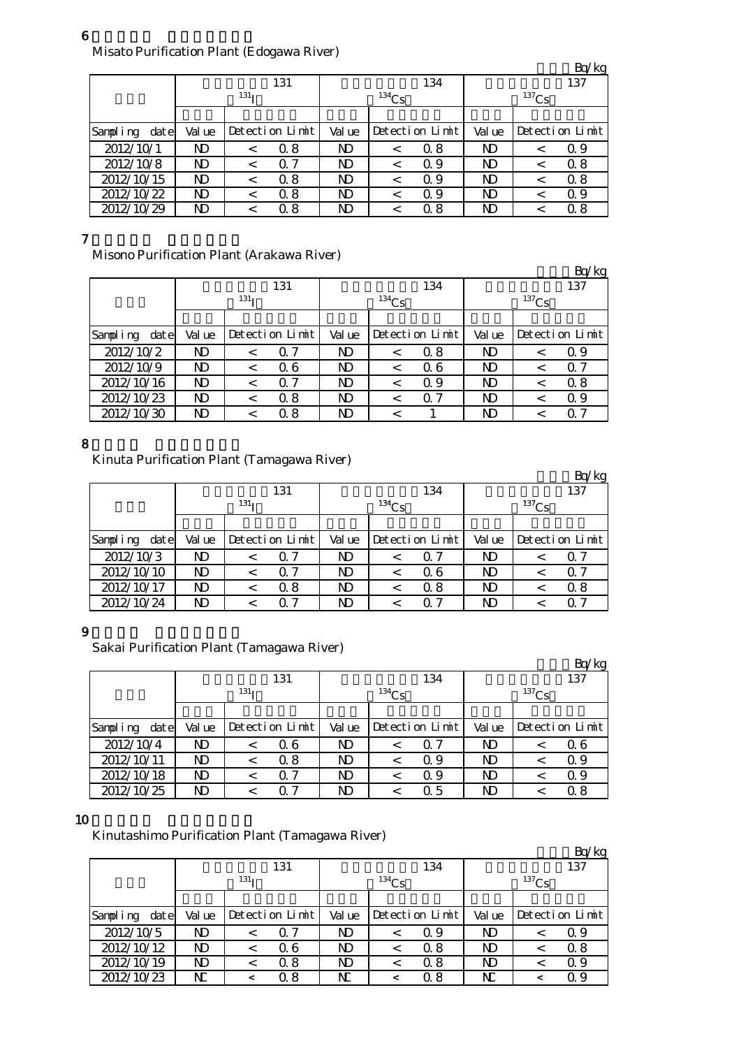## 6

Misato Purification Plant (Edogawa River)

|                   |        |                  |        |                 |                | Bq/kg           |  |  |
|-------------------|--------|------------------|--------|-----------------|----------------|-----------------|--|--|
|                   |        | 131              |        | 134             | 137            |                 |  |  |
|                   |        | 131 <sub>T</sub> |        | $134$ Cs        | $137$ Cs       |                 |  |  |
|                   |        |                  |        |                 |                |                 |  |  |
| Sampling<br>dat e | Val ue | Detection Limit  | Val ue | Detection Limit | Val ue         | Detection Limit |  |  |
| 2012/10/1         | N)     | 0.8<br><         | N)     | Q 8             | ND             | Q 9             |  |  |
| 2012/10/8         | N)     | $\Omega$ 7<br><  | N)     | 0.9<br>$\,<\,$  | N <sub>D</sub> | 0.8             |  |  |
| 2012/10/15        | N)     | 0.8              | N)     | Q 9             | ND             | 0.8             |  |  |
| 2012/10/22        | N)     | 0.8              | N)     | Q 9             | ND             | Q 9             |  |  |
| 2012/10/29        | N)     | 0. 8             | ND     | 0 8             | ND             | 0.8             |  |  |

### 7

Misono Purification Plant (Arakawa River)

|                   |        |                  |                 |                |                 |            |        |                 | Bq/kg |  |
|-------------------|--------|------------------|-----------------|----------------|-----------------|------------|--------|-----------------|-------|--|
|                   |        |                  | 131             |                |                 | 134        | 137    |                 |       |  |
|                   |        | 131 <sub>T</sub> |                 |                | $134$ Cs        |            |        | $137$ Cs        |       |  |
|                   |        |                  |                 |                |                 |            |        |                 |       |  |
| Sampling<br>dat e | Val ue |                  | Detection Limit |                | Detection Limit |            | Val ue | Detection Limit |       |  |
| 2012/10/2         | N)     | <                | Q 7             | N <sub>D</sub> | $\,<\,$         | Q 8        | ND     |                 | Q 9   |  |
| 2012/10/9         | N)     |                  | Q 6             | N)             |                 | 06         | N)     |                 | 0. 7  |  |
| 2012/10/16        | N)     | <                | 0.7             | N)             |                 | Q 9        | ND     | <               | 0.8   |  |
| 2012/10/23        | N)     | <                | 0.8             | N <sub>D</sub> | $\,<\,$         | $\Omega$ 7 | N)     |                 | 0.9   |  |
| 2012/10/30        | N)     |                  | 0.8             | ND             |                 |            | ND     |                 | ი 7   |  |

### 8

Kinuta Purification Plant (Tamagawa River)

|                   |                  |                 |     |            |                 |     |                |                 | Bq/kg |
|-------------------|------------------|-----------------|-----|------------|-----------------|-----|----------------|-----------------|-------|
|                   |                  |                 | 131 |            |                 | 134 | 137            |                 |       |
|                   | 131 <sub>T</sub> |                 |     | $^{134}Cs$ |                 |     | $137$ Cs       |                 |       |
|                   |                  |                 |     |            |                 |     |                |                 |       |
| Sampling<br>dat e | Val ue           | Detection Limit |     | Val ue     | Detection Limit |     | Val ue         | Detection Limit |       |
| 2012/10/3         | ND               |                 | Q 7 | ND         |                 | Q 7 | ND             |                 | O 7   |
| 2012/10/10        | N)               |                 | 0.7 | ND         |                 | Q 6 | ND             |                 | 0. 7  |
| 2012/10/17        | N <sub>D</sub>   |                 | 0.8 | ND         |                 | 0.8 | N <sub>D</sub> |                 | 0.8   |
| 2012/10/24        | ND               |                 | 0 7 | ND         |                 | 0 7 | ND             |                 | ი 7   |

### 9

Sakai Purification Plant (Tamagawa River)

|                    |                  |  |                 |          |                 |     |                |  | Bq/kg           |  |
|--------------------|------------------|--|-----------------|----------|-----------------|-----|----------------|--|-----------------|--|
|                    |                  |  | 131             |          |                 | 134 | 137            |  |                 |  |
|                    | 131 <sub>T</sub> |  |                 | $134$ Cs |                 |     | $^{137}Cs$     |  |                 |  |
|                    |                  |  |                 |          |                 |     |                |  |                 |  |
| Sampling<br>dat el | Val ue           |  | Detection Limit |          | Detection Limit |     | Val ue         |  | Detection Limit |  |
| 2012/10/4          | ND               |  | Q 6             | N)       |                 | Q 7 | N <sub>D</sub> |  | 06              |  |
| 2012/10/11         | ND               |  | 0.8             | N)       |                 | 0.9 | N <sub>D</sub> |  | 0.9             |  |
| 2012/10/18         | ND               |  | 0.7             | N)       |                 | 0.9 | N <sub>D</sub> |  | Q 9             |  |
| 2012/10/25         | ND               |  | ი 7             | ND       |                 | Q 5 | ND             |  | 0.8             |  |

### 10

Kinutashimo Purification Plant (Tamagawa River)

|                   |                  |                 |     |          |                 |     |          |  | Bq/kg           |  |
|-------------------|------------------|-----------------|-----|----------|-----------------|-----|----------|--|-----------------|--|
|                   |                  |                 | 131 |          |                 | 134 | 137      |  |                 |  |
|                   | 131 <sub>T</sub> |                 |     | $134$ Cs |                 |     | $137$ Cs |  |                 |  |
|                   |                  |                 |     |          |                 |     |          |  |                 |  |
| Sampling<br>dat e | Val ue           | Detection Limit |     | Val ue   | Detection Limit |     | Val ue   |  | Detection Limit |  |
| 2012/10/5         | N)               |                 | Q 7 | N)       |                 | Q 9 | ND       |  | Q 9             |  |
| 2012/10/12        | N)               |                 | Q 6 | N)       |                 | Q 8 | ND       |  | 0.8             |  |
| 2012/10/19        | ND               |                 | 0.8 | ND       |                 | Q 8 | ND       |  | 0.9             |  |
| 2012/10/23        | N                |                 | Ω8  | NC       |                 | Q 8 | N        |  | Q 9             |  |